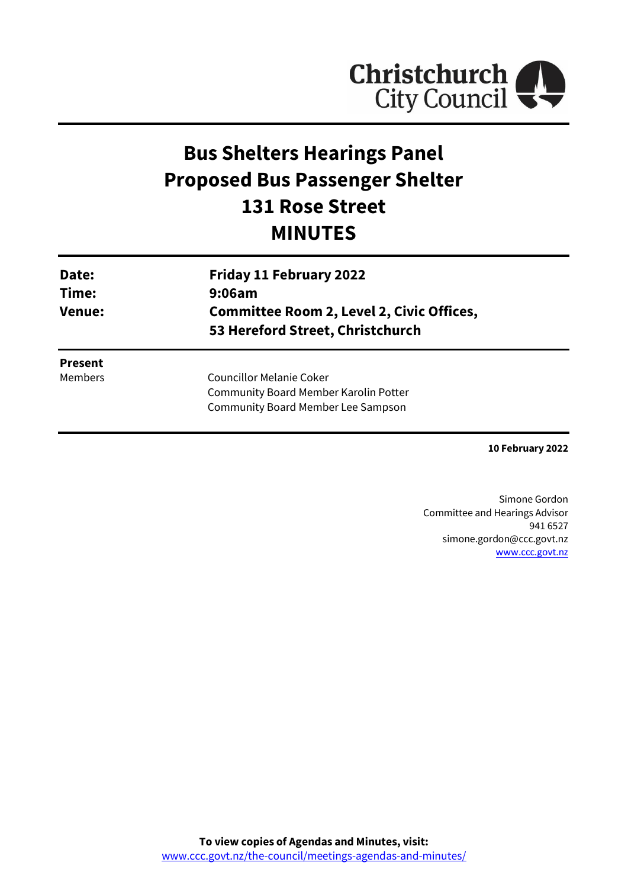

# **Bus Shelters Hearings Panel Proposed Bus Passenger Shelter 131 Rose Street MINUTES**

| Date:<br>Time:<br><b>Venue:</b> | <b>Friday 11 February 2022</b><br>9:06am<br><b>Committee Room 2, Level 2, Civic Offices,</b><br>53 Hereford Street, Christchurch |
|---------------------------------|----------------------------------------------------------------------------------------------------------------------------------|
| <b>Present</b>                  |                                                                                                                                  |
| Members                         | Councillor Melanie Coker<br><b>Community Board Member Karolin Potter</b>                                                         |
|                                 | <b>Community Board Member Lee Sampson</b>                                                                                        |

**10 February 2022**

Simone Gordon Committee and Hearings Advisor 941 6527 simone.gordon@ccc.govt.nz [www.ccc.govt.nz](http://www.ccc.govt.nz/)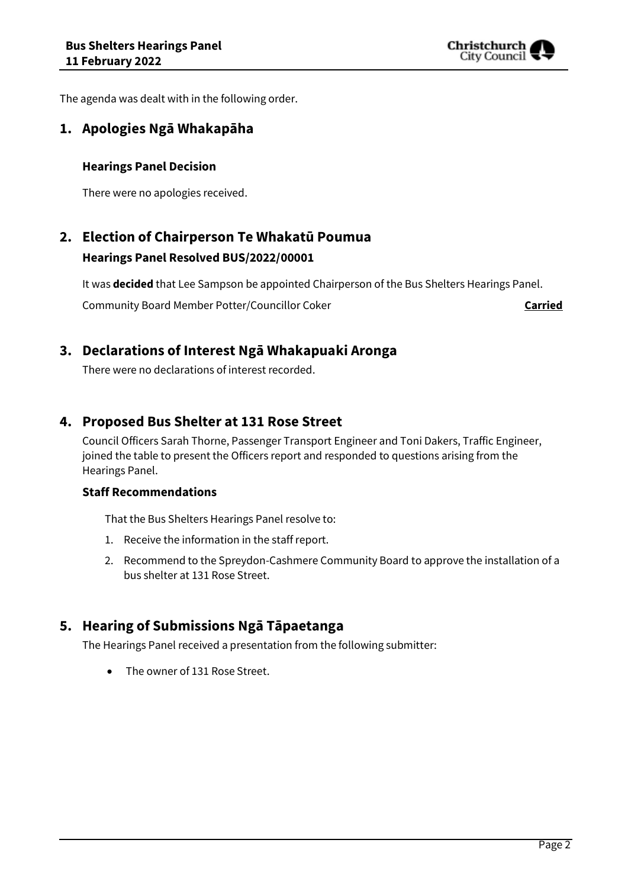

The agenda was dealt with in the following order.

## **1. Apologies Ngā Whakapāha**

#### **Hearings Panel Decision**

There were no apologies received.

## **2. Election of Chairperson Te Whakatū Poumua Hearings Panel Resolved BUS/2022/00001**

It was **decided** that Lee Sampson be appointed Chairperson of the Bus Shelters Hearings Panel.

Community Board Member Potter/Councillor Coker **Carried** 

### **3. Declarations of Interest Ngā Whakapuaki Aronga**

There were no declarations of interest recorded.

## **4. Proposed Bus Shelter at 131 Rose Street**

Council Officers Sarah Thorne, Passenger Transport Engineer and Toni Dakers, Traffic Engineer, joined the table to present the Officers report and responded to questions arising from the Hearings Panel.

#### **Staff Recommendations**

That the Bus Shelters Hearings Panel resolve to:

- 1. Receive the information in the staff report.
- 2. Recommend to the Spreydon-Cashmere Community Board to approve the installation of a bus shelter at 131 Rose Street.

## **5. Hearing of Submissions Ngā Tāpaetanga**

The Hearings Panel received a presentation from the following submitter:

The owner of 131 Rose Street.